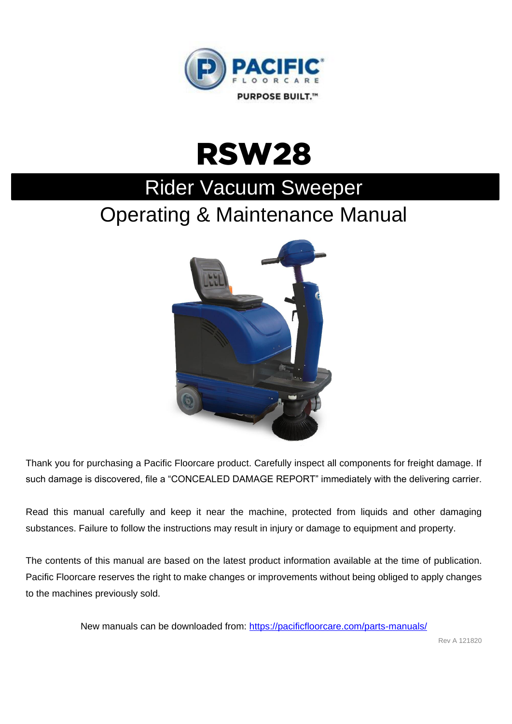



# Rider Vacuum Sweeper

## Operating & Maintenance Manual



Thank you for purchasing a Pacific Floorcare product. Carefully inspect all components for freight damage. If such damage is discovered, file a "CONCEALED DAMAGE REPORT" immediately with the delivering carrier.

Read this manual carefully and keep it near the machine, protected from liquids and other damaging substances. Failure to follow the instructions may result in injury or damage to equipment and property.

The contents of this manual are based on the latest product information available at the time of publication. Pacific Floorcare reserves the right to make changes or improvements without being obliged to apply changes to the machines previously sold.

New manuals can be downloaded from:<https://pacificfloorcare.com/parts-manuals/>

Rev A 121820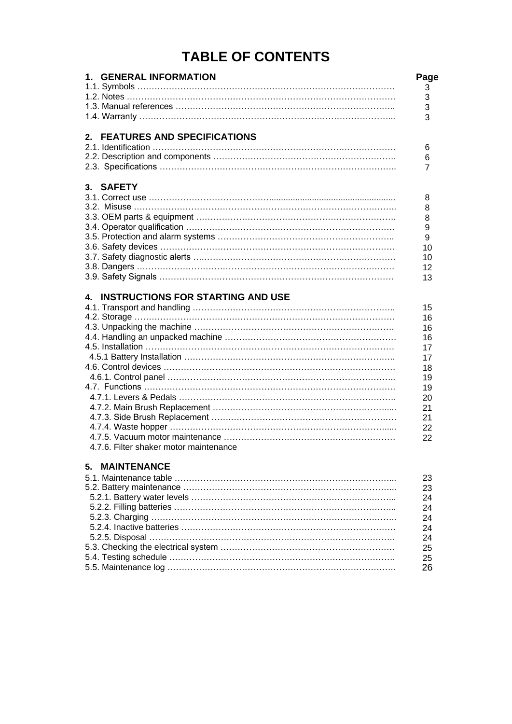## **TABLE OF CONTENTS**

| 1. GENERAL INFORMATION                         | Page<br>3      |
|------------------------------------------------|----------------|
|                                                | 3              |
|                                                | 3              |
|                                                | 3              |
|                                                |                |
| 2. FEATURES AND SPECIFICATIONS                 |                |
|                                                | 6              |
|                                                | 6              |
|                                                | $\overline{7}$ |
| 3. SAFETY                                      |                |
|                                                | 8              |
|                                                | 8              |
|                                                | 8              |
|                                                | 9              |
|                                                | 9              |
|                                                | 10             |
|                                                | 10             |
|                                                | 12             |
|                                                | 13             |
|                                                |                |
| <b>INSTRUCTIONS FOR STARTING AND USE</b><br>4. |                |
|                                                | 15             |
|                                                | 16             |
|                                                | 16             |
|                                                | 16             |
|                                                | 17             |
|                                                | 17             |
|                                                | 18             |
|                                                | 19             |
|                                                | 19             |
|                                                | 20             |
|                                                | 21             |
|                                                | 21             |
|                                                | 22             |
|                                                | 22             |
| 4.7.6. Filter shaker motor maintenance         |                |
| <b>MAINTENANCE</b><br>5.                       |                |
|                                                | 23             |
|                                                | 23             |
|                                                | 24             |
|                                                | 24             |
|                                                |                |
|                                                | 24             |
|                                                | 24             |
|                                                | 24             |
|                                                | 25             |
|                                                | 25             |
|                                                | 26             |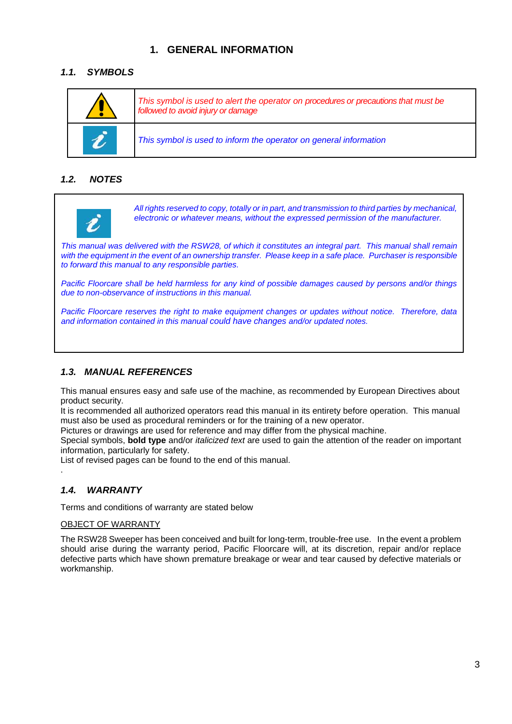## **1. GENERAL INFORMATION**

## *1.1. SYMBOLS*

| This symbol is used to alert the operator on procedures or precautions that must be<br>followed to avoid injury or damage |
|---------------------------------------------------------------------------------------------------------------------------|
| This symbol is used to inform the operator on general information                                                         |

## *1.2. NOTES*



*All rights reserved to copy, totally or in part, and transmission to third parties by mechanical, electronic or whatever means, without the expressed permission of the manufacturer.*

*This manual was delivered with the RSW28, of which it constitutes an integral part. This manual shall remain with the equipment in the event of an ownership transfer. Please keep in a safe place. Purchaser is responsible to forward this manual to any responsible parties.*

*Pacific Floorcare shall be held harmless for any kind of possible damages caused by persons and/or things due to non-observance of instructions in this manual.*

*Pacific Floorcare reserves the right to make equipment changes or updates without notice. Therefore, data and information contained in this manual could have changes and/or updated notes.*

## *1.3. MANUAL REFERENCES*

This manual ensures easy and safe use of the machine, as recommended by European Directives about product security.

It is recommended all authorized operators read this manual in its entirety before operation. This manual must also be used as procedural reminders or for the training of a new operator.

Pictures or drawings are used for reference and may differ from the physical machine.

Special symbols, **bold type** and/or *italicized text* are used to gain the attention of the reader on important information, particularly for safety.

List of revised pages can be found to the end of this manual.

#### *1.4. WARRANTY*

.

Terms and conditions of warranty are stated below

#### OBJECT OF WARRANTY

The RSW28 Sweeper has been conceived and built for long-term, trouble-free use. In the event a problem should arise during the warranty period, Pacific Floorcare will, at its discretion, repair and/or replace defective parts which have shown premature breakage or wear and tear caused by defective materials or workmanship.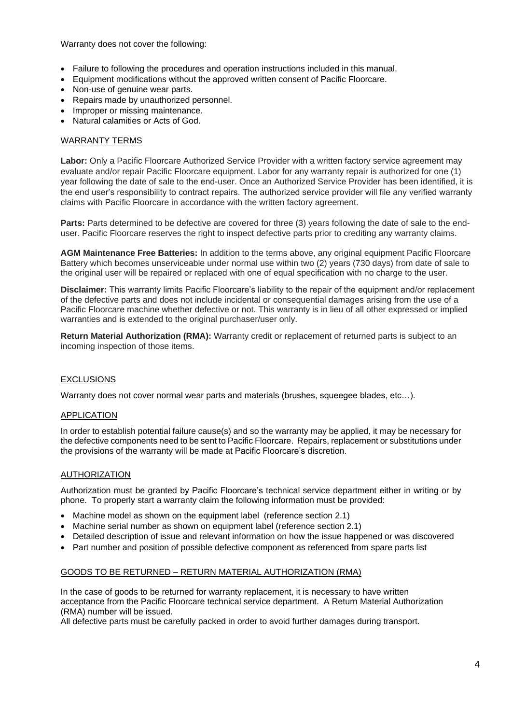Warranty does not cover the following:

- Failure to following the procedures and operation instructions included in this manual.
- Equipment modifications without the approved written consent of Pacific Floorcare.
- Non-use of genuine wear parts.
- Repairs made by unauthorized personnel.
- Improper or missing maintenance.
- Natural calamities or Acts of God.

#### WARRANTY TERMS

Labor: Only a Pacific Floorcare Authorized Service Provider with a written factory service agreement may evaluate and/or repair Pacific Floorcare equipment. Labor for any warranty repair is authorized for one (1) year following the date of sale to the end-user. Once an Authorized Service Provider has been identified, it is the end user's responsibility to contract repairs. The authorized service provider will file any verified warranty claims with Pacific Floorcare in accordance with the written factory agreement.

Parts: Parts determined to be defective are covered for three (3) years following the date of sale to the enduser. Pacific Floorcare reserves the right to inspect defective parts prior to crediting any warranty claims.

**AGM Maintenance Free Batteries:** In addition to the terms above, any original equipment Pacific Floorcare Battery which becomes unserviceable under normal use within two (2) years (730 days) from date of sale to the original user will be repaired or replaced with one of equal specification with no charge to the user.

**Disclaimer:** This warranty limits Pacific Floorcare's liability to the repair of the equipment and/or replacement of the defective parts and does not include incidental or consequential damages arising from the use of a Pacific Floorcare machine whether defective or not. This warranty is in lieu of all other expressed or implied warranties and is extended to the original purchaser/user only.

**Return Material Authorization (RMA):** Warranty credit or replacement of returned parts is subject to an incoming inspection of those items.

#### EXCLUSIONS

Warranty does not cover normal wear parts and materials (brushes, squeegee blades, etc…).

#### APPLICATION

In order to establish potential failure cause(s) and so the warranty may be applied, it may be necessary for the defective components need to be sent to Pacific Floorcare. Repairs, replacement or substitutions under the provisions of the warranty will be made at Pacific Floorcare's discretion.

#### AUTHORIZATION

Authorization must be granted by Pacific Floorcare's technical service department either in writing or by phone. To properly start a warranty claim the following information must be provided:

- Machine model as shown on the equipment label (reference section 2.1)
- Machine serial number as shown on equipment label (reference section 2.1)
- Detailed description of issue and relevant information on how the issue happened or was discovered
- Part number and position of possible defective component as referenced from spare parts list

#### GOODS TO BE RETURNED – RETURN MATERIAL AUTHORIZATION (RMA)

In the case of goods to be returned for warranty replacement, it is necessary to have written acceptance from the Pacific Floorcare technical service department. A Return Material Authorization (RMA) number will be issued.

All defective parts must be carefully packed in order to avoid further damages during transport.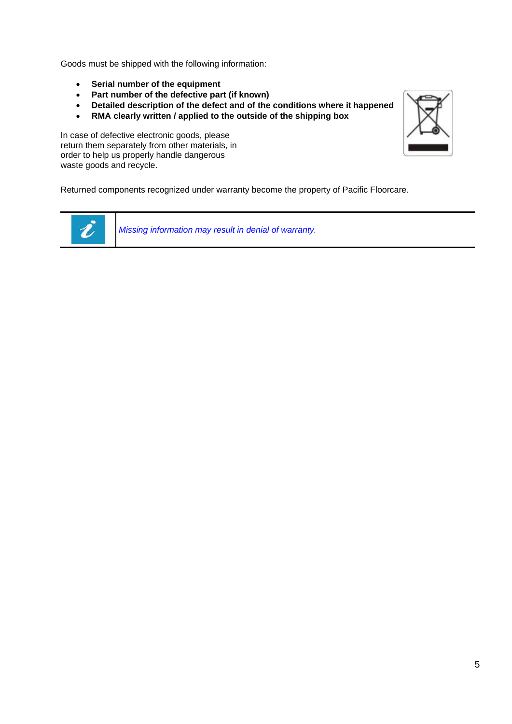Goods must be shipped with the following information:

- **Serial number of the equipment**
- **Part number of the defective part (if known)**
- **Detailed description of the defect and of the conditions where it happened**
- **RMA clearly written / applied to the outside of the shipping box**

In case of defective electronic goods, please return them separately from other materials, in order to help us properly handle dangerous waste goods and recycle.





*Missing information may result in denial of warranty.*

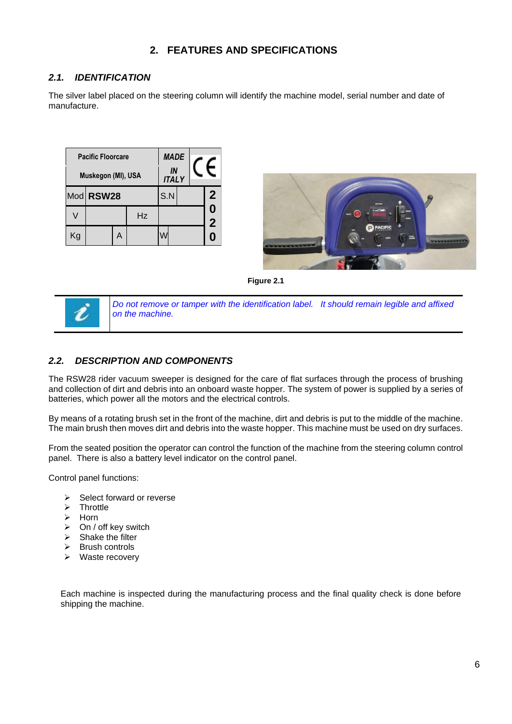## **2. FEATURES AND SPECIFICATIONS**

## *2.1. IDENTIFICATION*

The silver label placed on the steering column will identify the machine model, serial number and date of manufacture.

| <b>Pacific Floorcare</b> |           |   |    |                    | <b>MADE</b> |                     |
|--------------------------|-----------|---|----|--------------------|-------------|---------------------|
| Muskegon (MI), USA       |           |   |    | IN<br><b>ITALY</b> |             |                     |
|                          | Mod RSW28 |   |    | S.N                |             | $\mathbf{2}$        |
|                          |           |   | Hz |                    |             | 0<br>$\overline{2}$ |
| Κg                       |           | А |    |                    |             | 0                   |



**Figure 2.1**



*Do not remove or tamper with the identification label. It should remain legible and affixed on the machine.*

## *2.2. DESCRIPTION AND COMPONENTS*

The RSW28 rider vacuum sweeper is designed for the care of flat surfaces through the process of brushing and collection of dirt and debris into an onboard waste hopper. The system of power is supplied by a series of batteries, which power all the motors and the electrical controls.

By means of a rotating brush set in the front of the machine, dirt and debris is put to the middle of the machine. The main brush then moves dirt and debris into the waste hopper. This machine must be used on dry surfaces.

From the seated position the operator can control the function of the machine from the steering column control panel. There is also a battery level indicator on the control panel.

Control panel functions:

- $\triangleright$  Select forward or reverse
- $\triangleright$  Throttle
- > Horn
- $\triangleright$  On / off key switch
- $\triangleright$  Shake the filter
- $\triangleright$  Brush controls
- $\triangleright$  Waste recovery

Each machine is inspected during the manufacturing process and the final quality check is done before shipping the machine.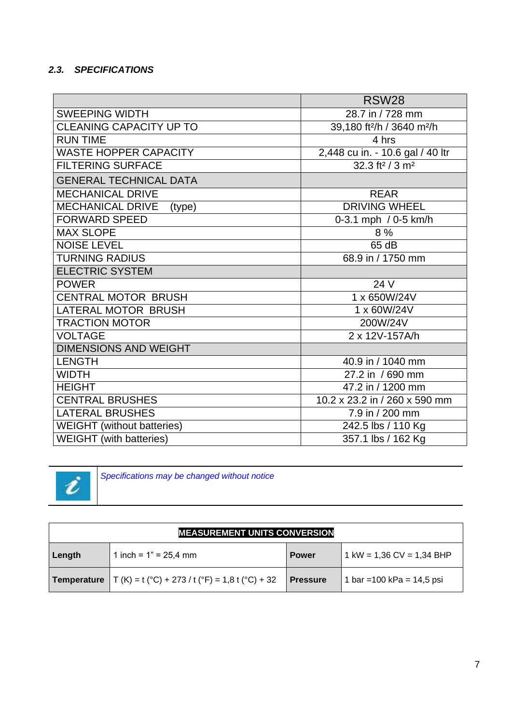## *2.3. SPECIFICATIONS*

|                                   | <b>RSW28</b>                                       |
|-----------------------------------|----------------------------------------------------|
| <b>SWEEPING WIDTH</b>             | 28.7 in / 728 mm                                   |
| <b>CLEANING CAPACITY UP TO</b>    | 39,180 ft <sup>2</sup> /h / 3640 m <sup>2</sup> /h |
| <b>RUN TIME</b>                   | 4 hrs                                              |
| <b>WASTE HOPPER CAPACITY</b>      | 2,448 cu in. - 10.6 gal / 40 ltr                   |
| <b>FILTERING SURFACE</b>          | 32.3 ft <sup>2</sup> / 3 m <sup>2</sup>            |
| <b>GENERAL TECHNICAL DATA</b>     |                                                    |
| <b>MECHANICAL DRIVE</b>           | <b>REAR</b>                                        |
| <b>MECHANICAL DRIVE</b><br>(type) | <b>DRIVING WHEEL</b>                               |
| <b>FORWARD SPEED</b>              | 0-3.1 mph / 0-5 km/h                               |
| <b>MAX SLOPE</b>                  | 8 %                                                |
| <b>NOISE LEVEL</b>                | 65 dB                                              |
| <b>TURNING RADIUS</b>             | 68.9 in / 1750 mm                                  |
| <b>ELECTRIC SYSTEM</b>            |                                                    |
| <b>POWER</b>                      | 24 V                                               |
| CENTRAL MOTOR BRUSH               | 1 x 650W/24V                                       |
| LATERAL MOTOR BRUSH               | 1 x 60W/24V                                        |
| <b>TRACTION MOTOR</b>             | 200W/24V                                           |
| <b>VOLTAGE</b>                    | 2 x 12V-157A/h                                     |
| <b>DIMENSIONS AND WEIGHT</b>      |                                                    |
| <b>LENGTH</b>                     | 40.9 in / 1040 mm                                  |
| <b>WIDTH</b>                      | 27.2 in / 690 mm                                   |
| <b>HEIGHT</b>                     | 47.2 in / 1200 mm                                  |
| <b>CENTRAL BRUSHES</b>            | 10.2 x 23.2 in / 260 x 590 mm                      |
| <b>LATERAL BRUSHES</b>            | 7.9 in / 200 mm                                    |
| <b>WEIGHT</b> (without batteries) | 242.5 lbs / 110 Kg                                 |
| <b>WEIGHT</b> (with batteries)    | 357.1 lbs / 162 Kg                                 |



*Specifications may be changed without notice*

| <b>MEASUREMENT UNITS CONVERSION</b> |                                                                     |                 |                            |
|-------------------------------------|---------------------------------------------------------------------|-----------------|----------------------------|
| ∣ Length                            | 1 inch = $1" = 25,4$ mm                                             | <b>Power</b>    | 1 kW = 1,36 CV = 1,34 BHP  |
|                                     | <b>Temperature</b> $T(K) = t (°C) + 273 / t (°F) = 1,8 t (°C) + 32$ | <b>Pressure</b> | 1 bar = 100 kPa = 14,5 psi |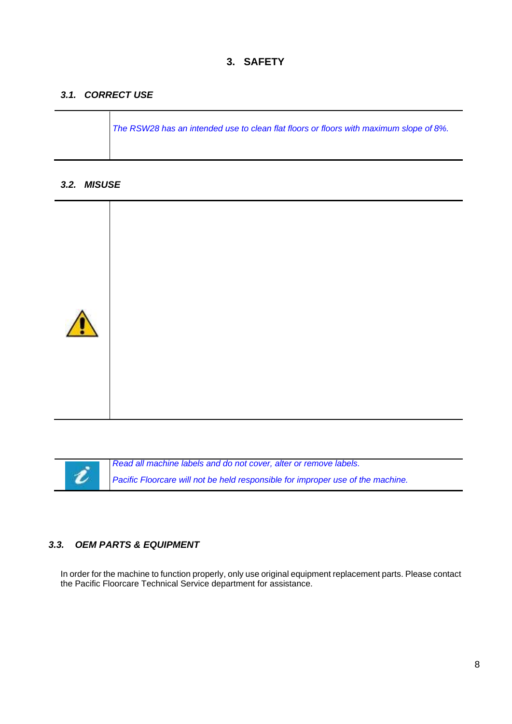## *3.1. CORRECT USE*

*The RSW28 has an intended use to clean flat floors or floors with maximum slope of 8%.*

#### *3.2. MISUSE*



ł

*Read all machine labels and do not cover, alter or remove labels.*

*Pacific Floorcare will not be held responsible for improper use of the machine.*

## *3.3. OEM PARTS & EQUIPMENT*

In order for the machine to function properly, only use original equipment replacement parts. Please contact the Pacific Floorcare Technical Service department for assistance.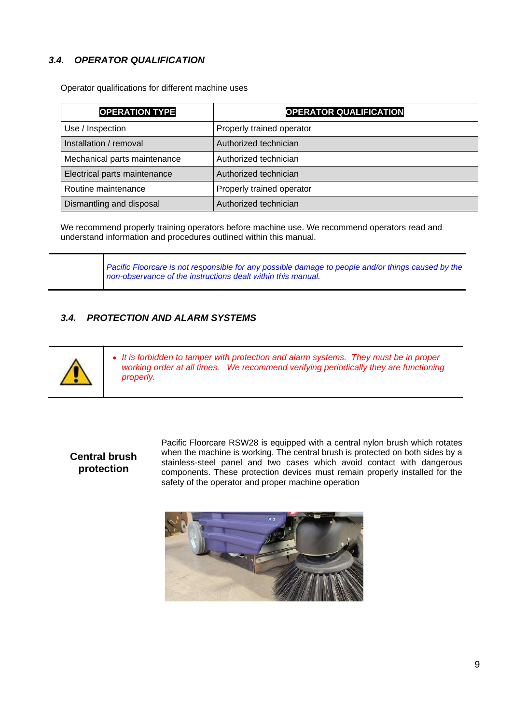## *3.4. OPERATOR QUALIFICATION*

Operator qualifications for different machine uses

| <b>OPERATION TYPE</b>        | <b>OPERATOR QUALIFICATION</b> |
|------------------------------|-------------------------------|
| Use / Inspection             | Properly trained operator     |
| Installation / removal       | Authorized technician         |
| Mechanical parts maintenance | Authorized technician         |
| Electrical parts maintenance | Authorized technician         |
| Routine maintenance          | Properly trained operator     |
| Dismantling and disposal     | Authorized technician         |

We recommend properly training operators before machine use. We recommend operators read and understand information and procedures outlined within this manual.

> *Pacific Floorcare is not responsible for any possible damage to people and/or things caused by the non-observance of the instructions dealt within this manual.*

## *3.4. PROTECTION AND ALARM SYSTEMS*



*It is forbidden to tamper with protection and alarm systems. They must be in proper working order at all times. We recommend verifying periodically they are functioning properly.*

## **Central brush protection**

Pacific Floorcare RSW28 is equipped with a central nylon brush which rotates when the machine is working. The central brush is protected on both sides by a stainless-steel panel and two cases which avoid contact with dangerous components. These protection devices must remain properly installed for the safety of the operator and proper machine operation

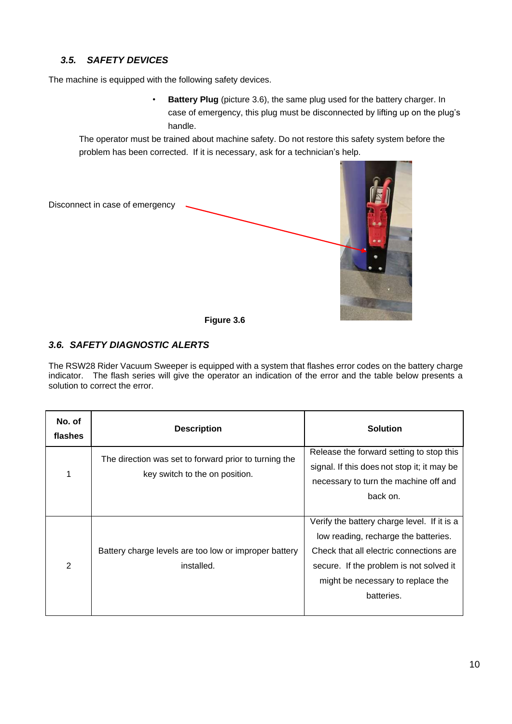## *3.5. SAFETY DEVICES*

The machine is equipped with the following safety devices.

• **Battery Plug** (picture 3.6), the same plug used for the battery charger. In case of emergency, this plug must be disconnected by lifting up on the plug's handle.

The operator must be trained about machine safety. Do not restore this safety system before the problem has been corrected. If it is necessary, ask for a technician's help.



#### *3.6. SAFETY DIAGNOSTIC ALERTS*

The RSW28 Rider Vacuum Sweeper is equipped with a system that flashes error codes on the battery charge indicator. The flash series will give the operator an indication of the error and the table below presents a solution to correct the error.

| No. of<br>flashes | <b>Description</b>                                                                      | <b>Solution</b>                                                                                                                                                                                                              |
|-------------------|-----------------------------------------------------------------------------------------|------------------------------------------------------------------------------------------------------------------------------------------------------------------------------------------------------------------------------|
| 1                 | The direction was set to forward prior to turning the<br>key switch to the on position. | Release the forward setting to stop this<br>signal. If this does not stop it; it may be<br>necessary to turn the machine off and                                                                                             |
|                   |                                                                                         | back on.                                                                                                                                                                                                                     |
| 2                 | Battery charge levels are too low or improper battery<br>installed.                     | Verify the battery charge level. If it is a<br>low reading, recharge the batteries.<br>Check that all electric connections are<br>secure. If the problem is not solved it<br>might be necessary to replace the<br>batteries. |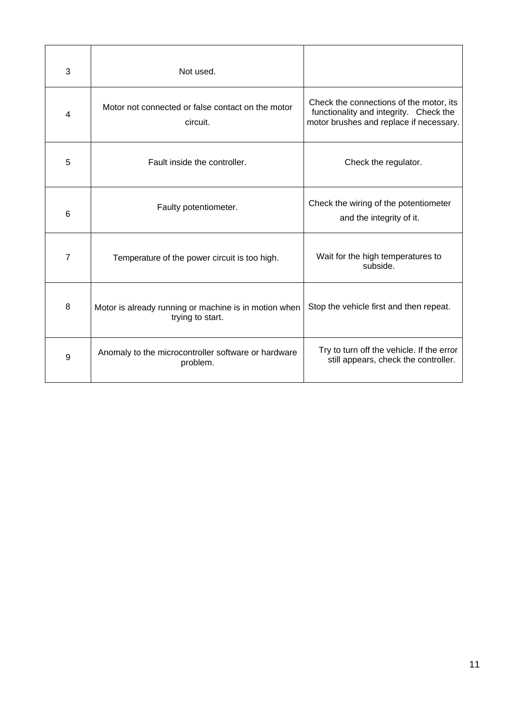| 3 | Not used.                                                                 |                                                                                                                              |
|---|---------------------------------------------------------------------------|------------------------------------------------------------------------------------------------------------------------------|
| 4 | Motor not connected or false contact on the motor<br>circuit.             | Check the connections of the motor, its<br>functionality and integrity. Check the<br>motor brushes and replace if necessary. |
| 5 | Fault inside the controller.                                              | Check the regulator.                                                                                                         |
| 6 | Faulty potentiometer.                                                     | Check the wiring of the potentiometer<br>and the integrity of it.                                                            |
| 7 | Temperature of the power circuit is too high.                             | Wait for the high temperatures to<br>subside.                                                                                |
| 8 | Motor is already running or machine is in motion when<br>trying to start. | Stop the vehicle first and then repeat.                                                                                      |
| 9 | Anomaly to the microcontroller software or hardware<br>problem.           | Try to turn off the vehicle. If the error<br>still appears, check the controller.                                            |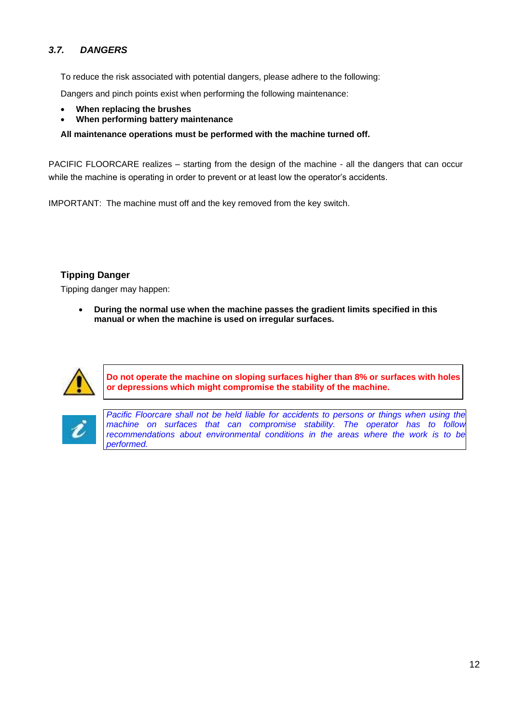## *3.7. DANGERS*

To reduce the risk associated with potential dangers, please adhere to the following:

Dangers and pinch points exist when performing the following maintenance:

- **When replacing the brushes**
- **When performing battery maintenance**

**All maintenance operations must be performed with the machine turned off.**

PACIFIC FLOORCARE realizes – starting from the design of the machine - all the dangers that can occur while the machine is operating in order to prevent or at least low the operator's accidents.

IMPORTANT: The machine must off and the key removed from the key switch.

## **Tipping Danger**

Tipping danger may happen:

 **During the normal use when the machine passes the gradient limits specified in this manual or when the machine is used on irregular surfaces.** 



**Do not operate the machine on sloping surfaces higher than 8% or surfaces with holes or depressions which might compromise the stability of the machine.**



*Pacific Floorcare shall not be held liable for accidents to persons or things when using the machine on surfaces that can compromise stability. The operator has to follow recommendations about environmental conditions in the areas where the work is to be performed.*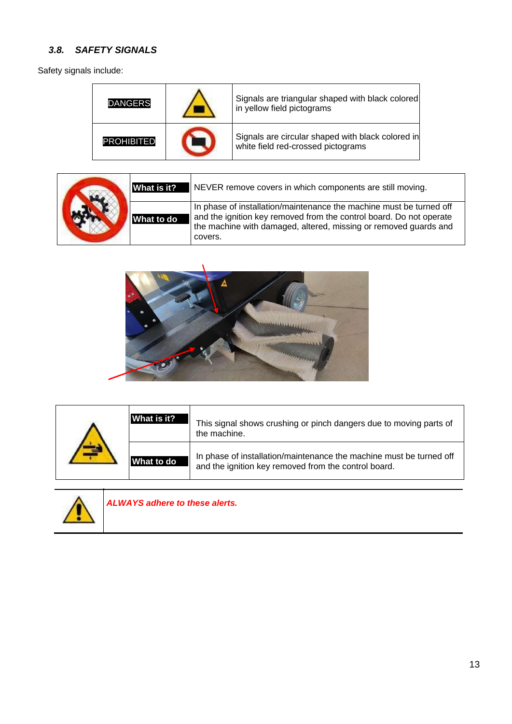## *3.8. SAFETY SIGNALS*

Safety signals include:

| <b>DANGERS</b>    | Signals are triangular shaped with black colored<br>in yellow field pictograms          |
|-------------------|-----------------------------------------------------------------------------------------|
| <b>PROHIBITED</b> | Signals are circular shaped with black colored in<br>white field red-crossed pictograms |

|  | What is it? | NEVER remove covers in which components are still moving.                                                                                                                                                                 |
|--|-------------|---------------------------------------------------------------------------------------------------------------------------------------------------------------------------------------------------------------------------|
|  | What to do  | In phase of installation/maintenance the machine must be turned off<br>and the ignition key removed from the control board. Do not operate<br>the machine with damaged, altered, missing or removed quards and<br>covers. |



| What is it? | This signal shows crushing or pinch dangers due to moving parts of<br>the machine.                                          |
|-------------|-----------------------------------------------------------------------------------------------------------------------------|
| What to do  | In phase of installation/maintenance the machine must be turned off<br>and the ignition key removed from the control board. |



*ALWAYS adhere to these alerts.*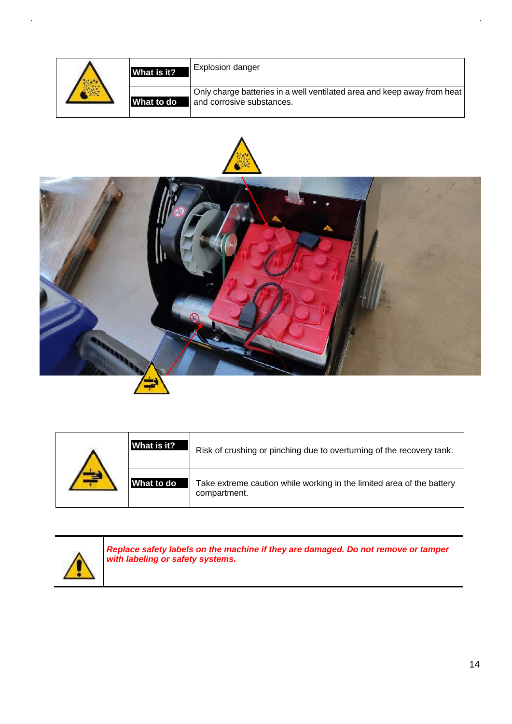| What is it? | <b>Explosion danger</b>                                                                              |
|-------------|------------------------------------------------------------------------------------------------------|
| What to do  | Only charge batteries in a well ventilated area and keep away from heat<br>and corrosive substances. |





| What is it? | Risk of crushing or pinching due to overturning of the recovery tank.                 |
|-------------|---------------------------------------------------------------------------------------|
| What to do  | Take extreme caution while working in the limited area of the battery<br>compartment. |



*Replace safety labels on the machine if they are damaged. Do not remove or tamper with labeling or safety systems.*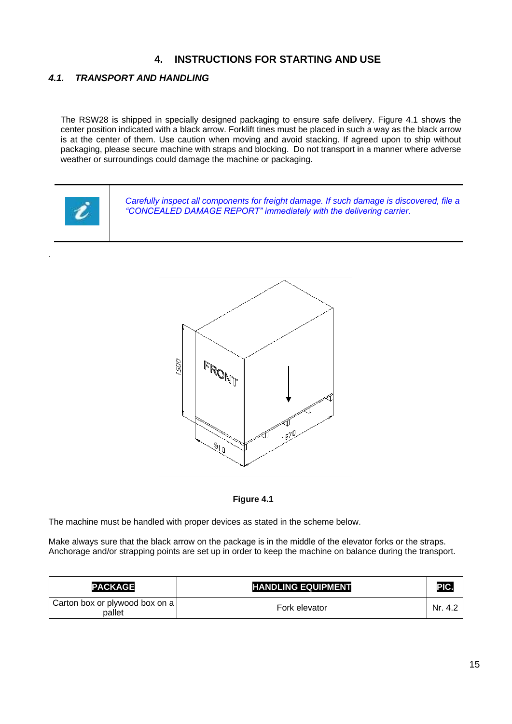## **4. INSTRUCTIONS FOR STARTING AND USE**

## *4.1. TRANSPORT AND HANDLING*

.

The RSW28 is shipped in specially designed packaging to ensure safe delivery. Figure 4.1 shows the center position indicated with a black arrow. Forklift tines must be placed in such a way as the black arrow is at the center of them. Use caution when moving and avoid stacking. If agreed upon to ship without packaging, please secure machine with straps and blocking. Do not transport in a manner where adverse weather or surroundings could damage the machine or packaging.







The machine must be handled with proper devices as stated in the scheme below.

Make always sure that the black arrow on the package is in the middle of the elevator forks or the straps. Anchorage and/or strapping points are set up in order to keep the machine on balance during the transport.

| <b>PACKAGE</b>                           | <b>HANDLING EQUIPMENT</b> | PIC.    |
|------------------------------------------|---------------------------|---------|
| Carton box or plywood box on a<br>pallet | Fork elevator             | Nr. 4.2 |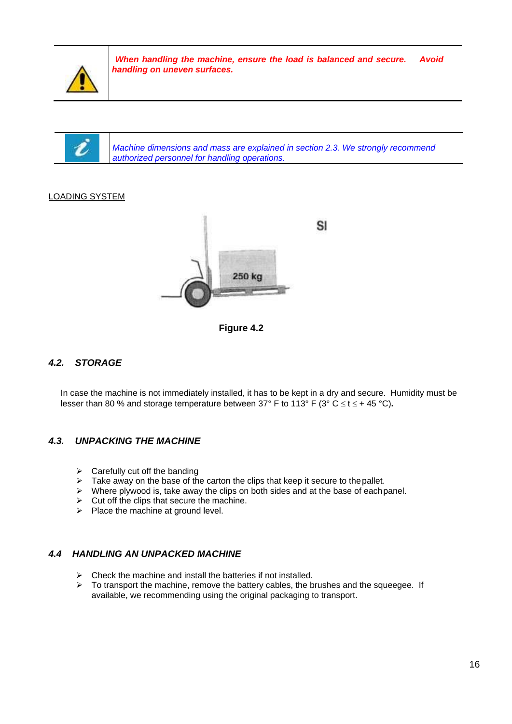

ł

*When handling the machine, ensure the load is balanced and secure. Avoid handling on uneven surfaces.*

*Machine dimensions and mass are explained in section 2.3. We strongly recommend authorized personnel for handling operations.*

#### LOADING SYSTEM





## *4.2. STORAGE*

In case the machine is not immediately installed, it has to be kept in a dry and secure. Humidity must be lesser than 80 % and storage temperature between 37° F to 113° F (3° C  $\leq$  t  $\leq$  + 45 °C).

#### *4.3. UNPACKING THE MACHINE*

- $\triangleright$  Carefully cut off the banding
- $\triangleright$  Take away on the base of the carton the clips that keep it secure to the pallet.
- $\triangleright$  Where plywood is, take away the clips on both sides and at the base of eachpanel.
- $\triangleright$  Cut off the clips that secure the machine.
- $\triangleright$  Place the machine at ground level.

#### *4.4 HANDLING AN UNPACKED MACHINE*

- $\triangleright$  Check the machine and install the batteries if not installed.
- $\triangleright$  To transport the machine, remove the battery cables, the brushes and the squeegee. If available, we recommending using the original packaging to transport.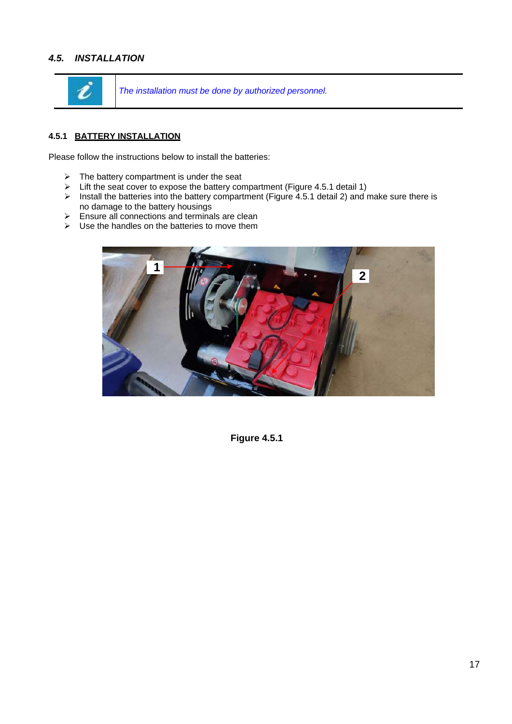## *4.5. INSTALLATION*



*The installation must be done by authorized personnel.*

#### **4.5.1 BATTERY INSTALLATION**

Please follow the instructions below to install the batteries:

- $\triangleright$  The battery compartment is under the seat
- $\triangleright$  Lift the seat cover to expose the battery compartment (Figure 4.5.1 detail 1)
- $\triangleright$  Install the batteries into the battery compartment (Figure 4.5.1 detail 2) and make sure there is no damage to the battery housings
- $\triangleright$  Ensure all connections and terminals are clean
- $\triangleright$  Use the handles on the batteries to move them



**Figure 4.5.1**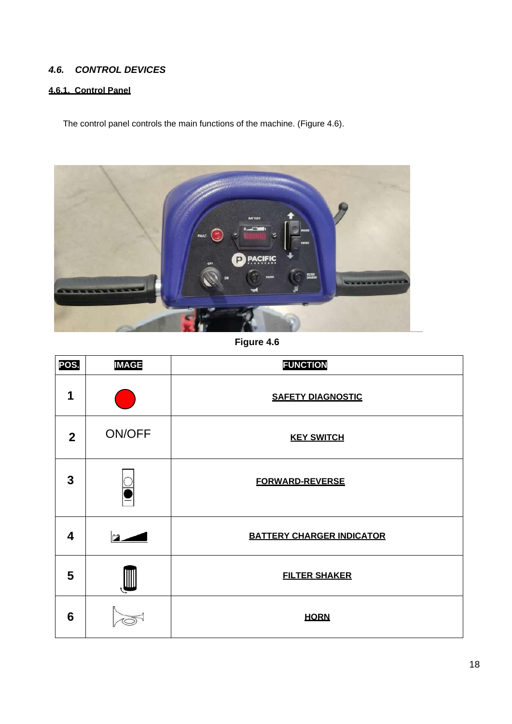## *4.6. CONTROL DEVICES*

## **4.6.1. Control Panel**

The control panel controls the main functions of the machine. (Figure 4.6).



**Figure 4.6**

| POS.           | <b>IMAGE</b>  | <b>FUNCTION</b>                  |
|----------------|---------------|----------------------------------|
| 1              |               | <b>SAFETY DIAGNOSTIC</b>         |
| $\overline{2}$ | <b>ON/OFF</b> | <b>KEY SWITCH</b>                |
| 3              |               | <b>FORWARD-REVERSE</b>           |
| 4              |               | <b>BATTERY CHARGER INDICATOR</b> |
| 5              |               | <b>FILTER SHAKER</b>             |
| 6              |               | <b>HORN</b>                      |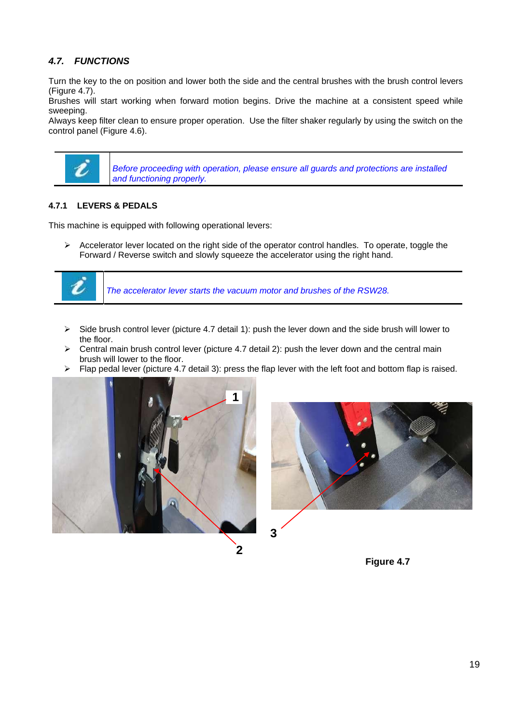## *4.7. FUNCTIONS*

Turn the key to the on position and lower both the side and the central brushes with the brush control levers (Figure 4.7).

Brushes will start working when forward motion begins. Drive the machine at a consistent speed while sweeping.

Always keep filter clean to ensure proper operation. Use the filter shaker regularly by using the switch on the control panel (Figure 4.6).



*Before proceeding with operation, please ensure all guards and protections are installed and functioning properly.*

#### **4.7.1 LEVERS & PEDALS**

This machine is equipped with following operational levers:

 $\triangleright$  Accelerator lever located on the right side of the operator control handles. To operate, toggle the Forward / Reverse switch and slowly squeeze the accelerator using the right hand.



*The accelerator lever starts the vacuum motor and brushes of the RSW28.*

- $\triangleright$  Side brush control lever (picture 4.7 detail 1): push the lever down and the side brush will lower to the floor.
- $\triangleright$  Central main brush control lever (picture 4.7 detail 2): push the lever down and the central main brush will lower to the floor.
- $\triangleright$  Flap pedal lever (picture 4.7 detail 3): press the flap lever with the left foot and bottom flap is raised.







**2**

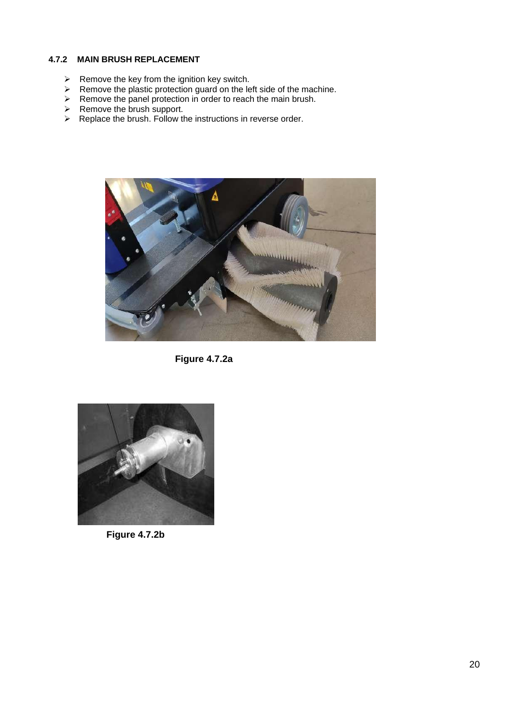#### **4.7.2 MAIN BRUSH REPLACEMENT**

- $\triangleright$  Remove the key from the ignition key switch.
- $\triangleright$  Remove the plastic protection guard on the left side of the machine.
- $\triangleright$  Remove the panel protection in order to reach the main brush.
- $\triangleright$  Remove the brush support.
- $\triangleright$  Replace the brush. Follow the instructions in reverse order.



**Figure 4.7.2a**



**Figure 4.7.2b**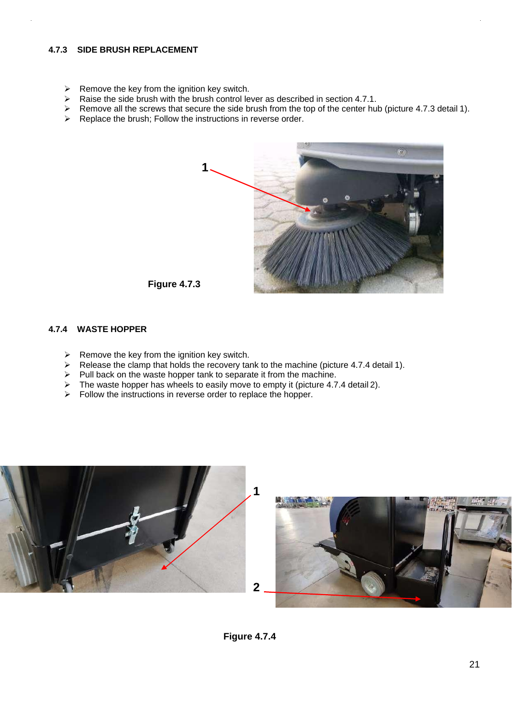#### **4.7.3 SIDE BRUSH REPLACEMENT**

- $\triangleright$  Remove the key from the ignition key switch.
- $\triangleright$  Raise the side brush with the brush control lever as described in section 4.7.1.
- Remove all the screws that secure the side brush from the top of the center hub (picture 4.7.3 detail 1).
- $\triangleright$  Replace the brush; Follow the instructions in reverse order.



#### **Figure 4.7.3**

#### **4.7.4 WASTE HOPPER**

- $\triangleright$  Remove the key from the ignition key switch.
- $\triangleright$  Release the clamp that holds the recovery tank to the machine (picture 4.7.4 detail 1).
- $\triangleright$  Pull back on the waste hopper tank to separate it from the machine.
- $\triangleright$  The waste hopper has wheels to easily move to empty it (picture 4.7.4 detail 2).
- $\triangleright$  Follow the instructions in reverse order to replace the hopper.





**Figure 4.7.4**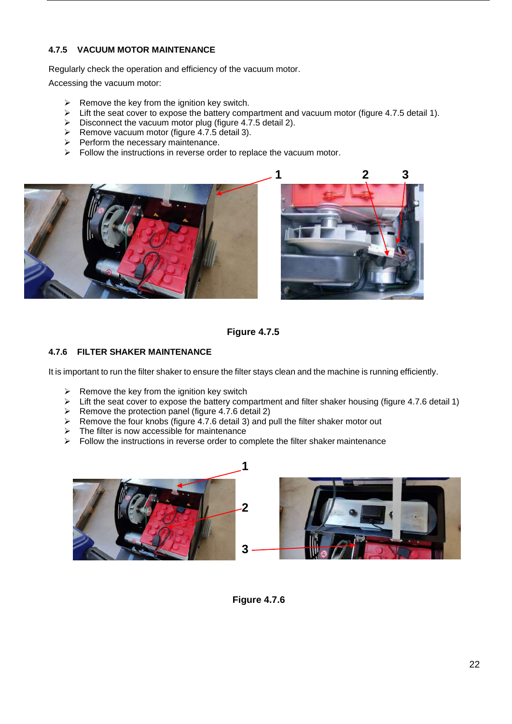#### **4.7.5 VACUUM MOTOR MAINTENANCE**

Regularly check the operation and efficiency of the vacuum motor.

Accessing the vacuum motor:

- $\triangleright$  Remove the key from the ignition key switch.
- $\triangleright$  Lift the seat cover to expose the battery compartment and vacuum motor (figure 4.7.5 detail 1).
- $\triangleright$  Disconnect the vacuum motor plug (figure 4.7.5 detail 2).
- $\triangleright$  Remove vacuum motor (figure 4.7.5 detail 3).
- $\triangleright$  Perform the necessary maintenance.
- $\triangleright$  Follow the instructions in reverse order to replace the vacuum motor.





**Figure 4.7.5**

#### **4.7.6 FILTER SHAKER MAINTENANCE**

It is important to run the filter shaker to ensure the filter stays clean and the machine is running efficiently.

- Example the key from the ignition key switch  $\geq$  Lift the seat cover to expose the battery com
- Lift the seat cover to expose the battery compartment and filter shaker housing (figure 4.7.6 detail 1)
- $\triangleright$  Remove the protection panel (figure 4.7.6 detail 2)
- $\triangleright$  Remove the four knobs (figure 4.7.6 detail 3) and pull the filter shaker motor out
- $\triangleright$  The filter is now accessible for maintenance
- $\triangleright$  Follow the instructions in reverse order to complete the filter shaker maintenance



**Figure 4.7.6**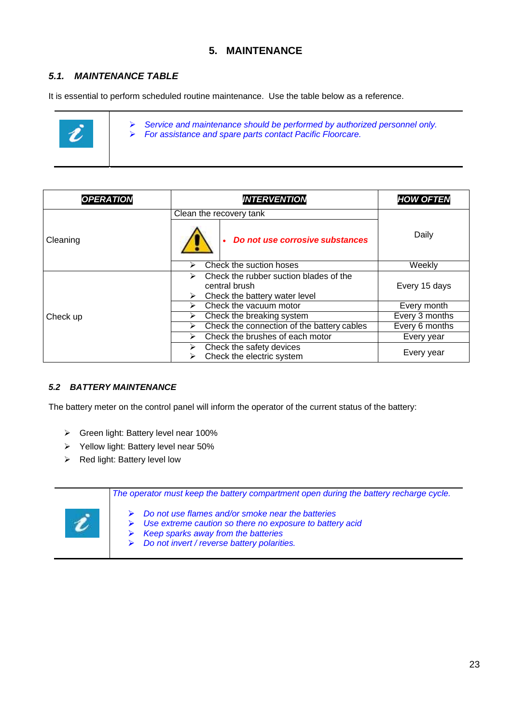## **5. MAINTENANCE**

## *5.1. MAINTENANCE TABLE*

It is essential to perform scheduled routine maintenance. Use the table below as a reference.



 *Service and maintenance should be performed by authorized personnel only. For assistance and spare parts contact Pacific Floorcare.*

| <b>OPERATION</b> | <b>INTERVENTION</b>                                                                                | <b>HOW OFTEN</b> |
|------------------|----------------------------------------------------------------------------------------------------|------------------|
|                  | Clean the recovery tank                                                                            |                  |
| Cleaning         | Do not use corrosive substances                                                                    | Daily            |
|                  | Check the suction hoses<br>⋗                                                                       | Weekly           |
|                  | Check the rubber suction blades of the<br>↘<br>central brush<br>Check the battery water level<br>⋗ | Every 15 days    |
|                  | Check the vacuum motor<br>↘                                                                        | Every month      |
| Check up         | Check the breaking system<br>⋗                                                                     | Every 3 months   |
|                  | Check the connection of the battery cables<br>⋗                                                    | Every 6 months   |
|                  | Check the brushes of each motor<br>➤                                                               | Every year       |
|                  | Check the safety devices<br>⋗<br>Check the electric system                                         | Every year       |

#### *5.2 BATTERY MAINTENANCE*

The battery meter on the control panel will inform the operator of the current status of the battery:

- Green light: Battery level near 100%
- $\triangleright$  Yellow light: Battery level near 50%
- $\triangleright$  Red light: Battery level low

| The operator must keep the battery compartment open during the battery recharge cycle.                                                                                                                        |
|---------------------------------------------------------------------------------------------------------------------------------------------------------------------------------------------------------------|
| Do not use flames and/or smoke near the batteries<br>Use extreme caution so there no exposure to battery acid<br>Keep sparks away from the batteries<br>➤<br>Do not invert / reverse battery polarities.<br>➤ |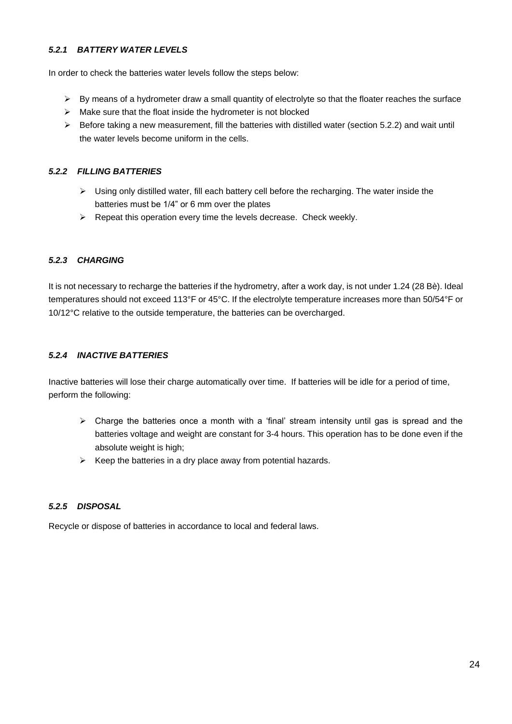#### *5.2.1 BATTERY WATER LEVELS*

In order to check the batteries water levels follow the steps below:

- $\triangleright$  By means of a hydrometer draw a small quantity of electrolyte so that the floater reaches the surface
- $\triangleright$  Make sure that the float inside the hydrometer is not blocked
- $\triangleright$  Before taking a new measurement, fill the batteries with distilled water (section 5.2.2) and wait until the water levels become uniform in the cells.

#### *5.2.2 FILLING BATTERIES*

- $\triangleright$  Using only distilled water, fill each battery cell before the recharging. The water inside the batteries must be 1/4" or 6 mm over the plates
- $\triangleright$  Repeat this operation every time the levels decrease. Check weekly.

#### *5.2.3 CHARGING*

It is not necessary to recharge the batteries if the hydrometry, after a work day, is not under 1.24 (28 Bè). Ideal temperatures should not exceed 113°F or 45°C. If the electrolyte temperature increases more than 50/54°F or 10/12°C relative to the outside temperature, the batteries can be overcharged.

#### *5.2.4 INACTIVE BATTERIES*

Inactive batteries will lose their charge automatically over time. If batteries will be idle for a period of time, perform the following:

- $\triangleright$  Charge the batteries once a month with a 'final' stream intensity until gas is spread and the batteries voltage and weight are constant for 3-4 hours. This operation has to be done even if the absolute weight is high;
- $\triangleright$  Keep the batteries in a dry place away from potential hazards.

#### *5.2.5 DISPOSAL*

Recycle or dispose of batteries in accordance to local and federal laws.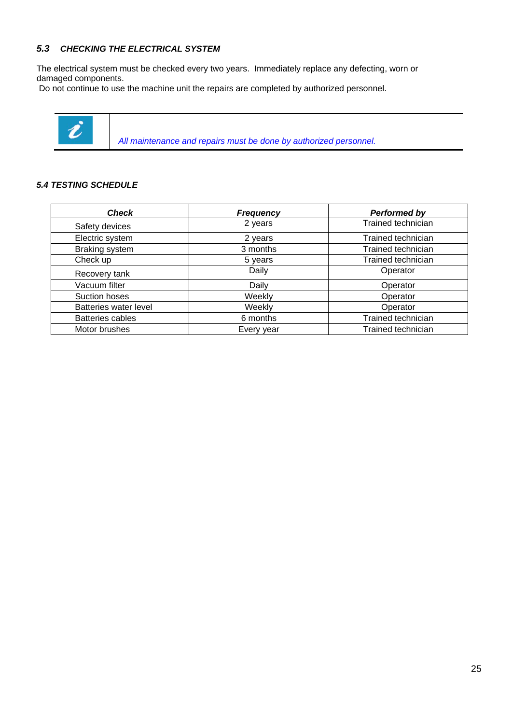#### *5.3 CHECKING THE ELECTRICAL SYSTEM*

The electrical system must be checked every two years. Immediately replace any defecting, worn or damaged components.

Do not continue to use the machine unit the repairs are completed by authorized personnel.



 *All maintenance and repairs must be done by authorized personnel.*

#### *5.4 TESTING SCHEDULE*

| <b>Check</b>            | <b>Frequency</b> | <b>Performed by</b> |  |
|-------------------------|------------------|---------------------|--|
| Safety devices          | 2 years          | Trained technician  |  |
| Electric system         | 2 years          | Trained technician  |  |
| Braking system          | 3 months         | Trained technician  |  |
| Check up                | 5 years          | Trained technician  |  |
| Recovery tank           | Daily            | Operator            |  |
| Vacuum filter           | Daily            | Operator            |  |
| Suction hoses           | Weekly           | Operator            |  |
| Batteries water level   | Weekly           | Operator            |  |
| <b>Batteries cables</b> | 6 months         | Trained technician  |  |
| Motor brushes           | Every year       | Trained technician  |  |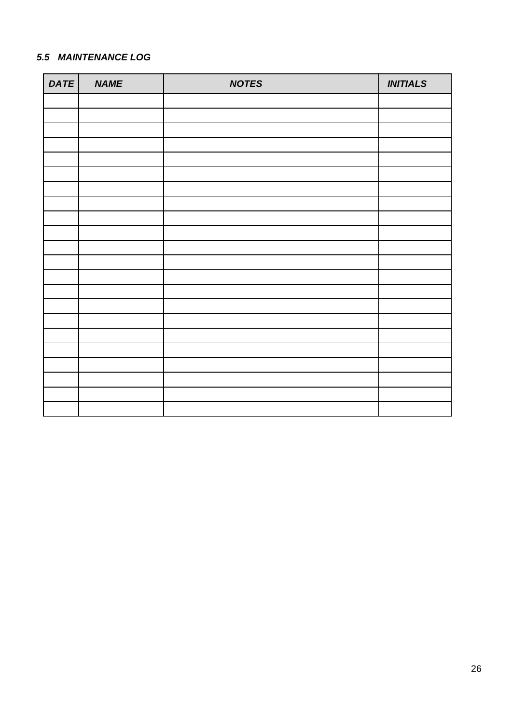## *5.5 MAINTENANCE LOG*

| DATE | <b>NAME</b> | <b>NOTES</b> | <b>INITIALS</b> |
|------|-------------|--------------|-----------------|
|      |             |              |                 |
|      |             |              |                 |
|      |             |              |                 |
|      |             |              |                 |
|      |             |              |                 |
|      |             |              |                 |
|      |             |              |                 |
|      |             |              |                 |
|      |             |              |                 |
|      |             |              |                 |
|      |             |              |                 |
|      |             |              |                 |
|      |             |              |                 |
|      |             |              |                 |
|      |             |              |                 |
|      |             |              |                 |
|      |             |              |                 |
|      |             |              |                 |
|      |             |              |                 |
|      |             |              |                 |
|      |             |              |                 |
|      |             |              |                 |